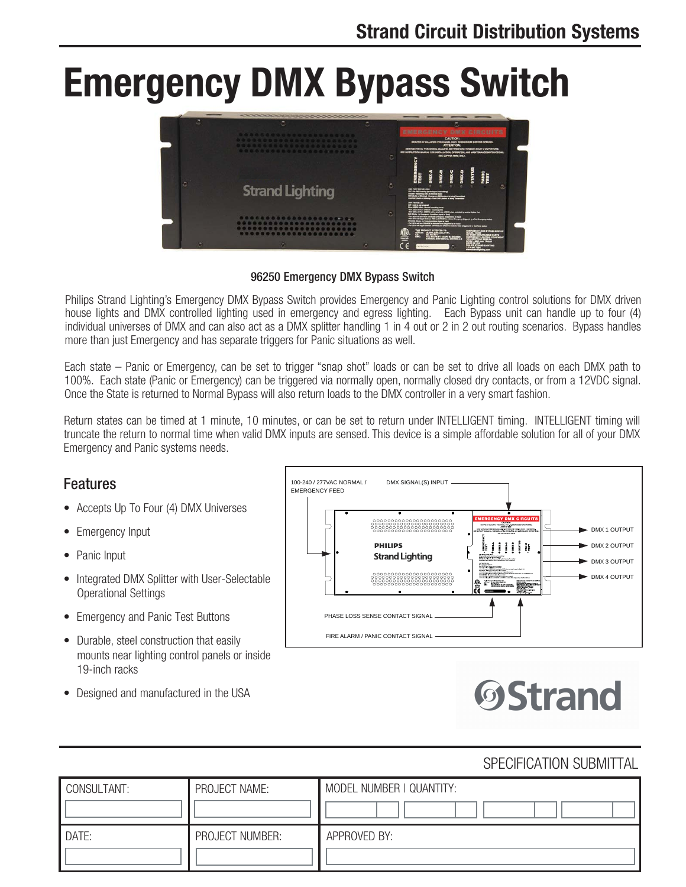# **Emergency DMX Bypass Switch**



#### 96250 Emergency DMX Bypass Switch

Philips Strand Lighting's Emergency DMX Bypass Switch provides Emergency and Panic Lighting control solutions for DMX driven house lights and DMX controlled lighting used in emergency and egress lighting. Each Bypass unit can handle up to four (4) individual universes of DMX and can also act as a DMX splitter handling 1 in 4 out or 2 in 2 out routing scenarios. Bypass handles more than just Emergency and has separate triggers for Panic situations as well.

Each state – Panic or Emergency, can be set to trigger "snap shot" loads or can be set to drive all loads on each DMX path to 100%. Each state (Panic or Emergency) can be triggered via normally open, normally closed dry contacts, or from a 12VDC signal. Once the State is returned to Normal Bypass will also return loads to the DMX controller in a very smart fashion.

Return states can be timed at 1 minute, 10 minutes, or can be set to return under INTELLIGENT timing. INTELLIGENT timing will truncate the return to normal time when valid DMX inputs are sensed. This device is a simple affordable solution for all of your DMX Emergency and Panic systems needs.

#### Features

- Accepts Up To Four (4) DMX Universes
- Emergency Input
- Panic Input
- Integrated DMX Splitter with User-Selectable Operational Settings
- Emergency and Panic Test Buttons
- Durable, steel construction that easily mounts near lighting control panels or inside 19-inch racks
- Designed and manufactured in the USA





### SPECIFICATION SUBMITTAL

| CONSULTANT: | PROJECT NAME:   | MODEL NUMBER   QUANTITY: |
|-------------|-----------------|--------------------------|
| DATE:       | PROJECT NUMBER: | APPROVED BY:             |